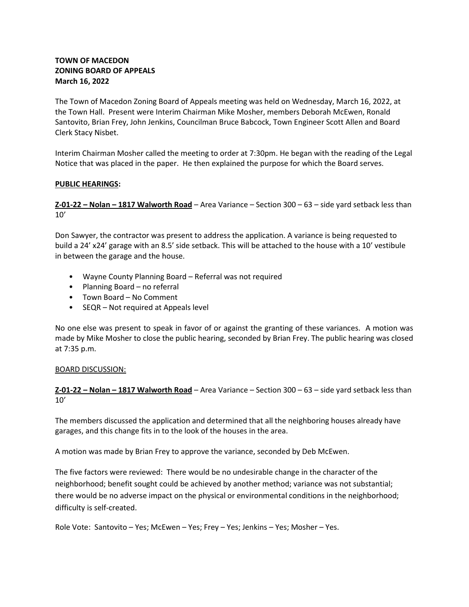# TOWN OF MACEDON ZONING BOARD OF APPEALS March 16, 2022

The Town of Macedon Zoning Board of Appeals meeting was held on Wednesday, March 16, 2022, at the Town Hall. Present were Interim Chairman Mike Mosher, members Deborah McEwen, Ronald Santovito, Brian Frey, John Jenkins, Councilman Bruce Babcock, Town Engineer Scott Allen and Board Clerk Stacy Nisbet.

Interim Chairman Mosher called the meeting to order at 7:30pm. He began with the reading of the Legal Notice that was placed in the paper. He then explained the purpose for which the Board serves.

### PUBLIC HEARINGS:

Z-01-22 – Nolan – 1817 Walworth Road – Area Variance – Section 300 – 63 – side yard setback less than 10'

Don Sawyer, the contractor was present to address the application. A variance is being requested to build a 24' x24' garage with an 8.5' side setback. This will be attached to the house with a 10' vestibule in between the garage and the house.

- Wayne County Planning Board Referral was not required
- Planning Board no referral
- Town Board No Comment
- SEQR Not required at Appeals level

No one else was present to speak in favor of or against the granting of these variances. A motion was made by Mike Mosher to close the public hearing, seconded by Brian Frey. The public hearing was closed at 7:35 p.m.

### BOARD DISCUSSION:

# Z-01-22 – Nolan – 1817 Walworth Road – Area Variance – Section 300 – 63 – side yard setback less than 10'

The members discussed the application and determined that all the neighboring houses already have garages, and this change fits in to the look of the houses in the area.

A motion was made by Brian Frey to approve the variance, seconded by Deb McEwen.

The five factors were reviewed: There would be no undesirable change in the character of the neighborhood; benefit sought could be achieved by another method; variance was not substantial; there would be no adverse impact on the physical or environmental conditions in the neighborhood; difficulty is self-created.

Role Vote: Santovito – Yes; McEwen – Yes; Frey – Yes; Jenkins – Yes; Mosher – Yes.